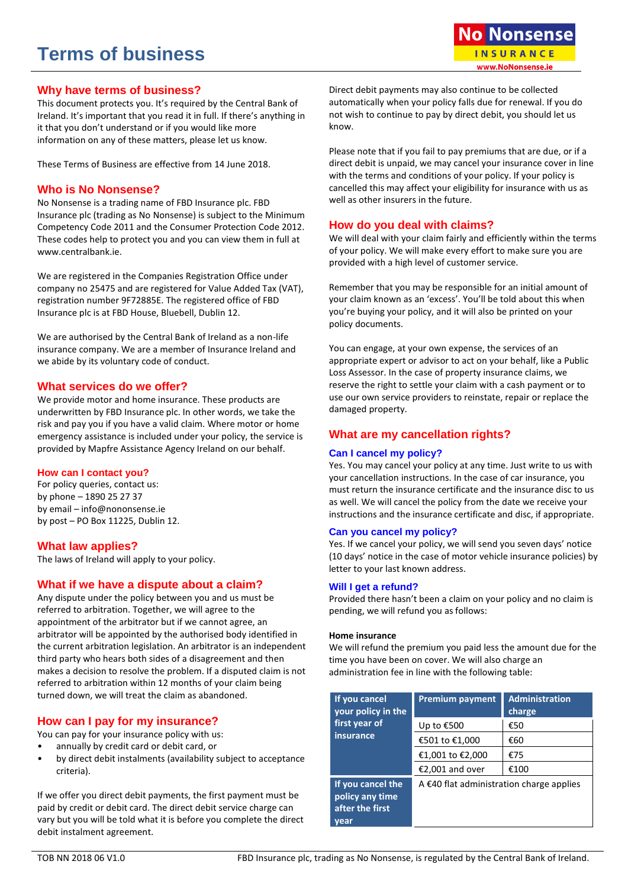# **Terms of business**

# **Why have terms of business?**

This document protects you. It's required by the Central Bank of Ireland. It's important that you read it in full. If there's anything in it that you don't understand or if you would like more information on any of these matters, please let us know.

These Terms of Business are effective from 14 June 2018.

# **Who is No Nonsense?**

No Nonsense is a trading name of FBD Insurance plc. FBD Insurance plc (trading as No Nonsense) is subject to the Minimum Competency Code 2011 and the Consumer Protection Code 2012. These codes help to protect you and you can view them in full at www.centralbank.ie.

We are registered in the Companies Registration Office under company no 25475 and are registered for Value Added Tax (VAT), registration number 9F72885E. The registered office of FBD Insurance plc is at FBD House, Bluebell, Dublin 12.

We are authorised by the Central Bank of Ireland as a non-life insurance company. We are a member of Insurance Ireland and we abide by its voluntary code of conduct.

# **What services do we offer?**

We provide motor and home insurance. These products are underwritten by FBD Insurance plc. In other words, we take the risk and pay you if you have a valid claim. Where motor or home emergency assistance is included under your policy, the service is provided by Mapfre Assistance Agency Ireland on our behalf.

# **How can I contact you?**

For policy queries, contact us: by phone – 1890 25 27 37 by email – info@nononsense.ie by post – PO Box 11225, Dublin 12.

# **What law applies?**

The laws of Ireland will apply to your policy.

# **What if we have a dispute about a claim?**

Any dispute under the policy between you and us must be referred to arbitration. Together, we will agree to the appointment of the arbitrator but if we cannot agree, an arbitrator will be appointed by the authorised body identified in the current arbitration legislation. An arbitrator is an independent third party who hears both sides of a disagreement and then makes a decision to resolve the problem. If a disputed claim is not referred to arbitration within 12 months of your claim being turned down, we will treat the claim as abandoned.

# **How can I pay for my insurance?**

You can pay for your insurance policy with us:

- annually by credit card or debit card, or
- by direct debit instalments (availability subject to acceptance criteria).

If we offer you direct debit payments, the first payment must be paid by credit or debit card. The direct debit service charge can vary but you will be told what it is before you complete the direct debit instalment agreement.

Direct debit payments may also continue to be collected automatically when your policy falls due for renewal. If you do not wish to continue to pay by direct debit, you should let us know.

Please note that if you fail to pay premiums that are due, or if a direct debit is unpaid, we may cancel your insurance cover in line with the terms and conditions of your policy. If your policy is cancelled this may affect your eligibility for insurance with us as well as other insurers in the future.

# **How do you deal with claims?**

We will deal with your claim fairly and efficiently within the terms of your policy. We will make every effort to make sure you are provided with a high level of customer service.

Remember that you may be responsible for an initial amount of your claim known as an 'excess'. You'll be told about this when you're buying your policy, and it will also be printed on your policy documents.

You can engage, at your own expense, the services of an appropriate expert or advisor to act on your behalf, like a Public Loss Assessor. In the case of property insurance claims, we reserve the right to settle your claim with a cash payment or to use our own service providers to reinstate, repair or replace the damaged property.

# **What are my cancellation rights?**

# **Can I cancel my policy?**

Yes. You may cancel your policy at any time. Just write to us with your cancellation instructions. In the case of car insurance, you must return the insurance certificate and the insurance disc to us as well. We will cancel the policy from the date we receive your instructions and the insurance certificate and disc, if appropriate.

# **Can you cancel my policy?**

Yes. If we cancel your policy, we will send you seven days' notice (10 days' notice in the case of motor vehicle insurance policies) by letter to your last known address.

# **Will I get a refund?**

Provided there hasn't been a claim on your policy and no claim is pending, we will refund you as follows:

## **Home insurance**

We will refund the premium you paid less the amount due for the time you have been on cover. We will also charge an administration fee in line with the following table:

| If you cancel<br>your policy in the                     | <b>Premium payment</b>                             | <b>Administration</b><br>charge |
|---------------------------------------------------------|----------------------------------------------------|---------------------------------|
| first year of<br>insurance                              | Up to €500                                         | €50                             |
|                                                         | €501 to €1,000                                     | €60                             |
|                                                         | €1,001 to €2,000                                   | €75                             |
|                                                         | €2,001 and over                                    | €100                            |
| If you cancel the<br>policy any time<br>after the first | A $\epsilon$ 40 flat administration charge applies |                                 |
| vear                                                    |                                                    |                                 |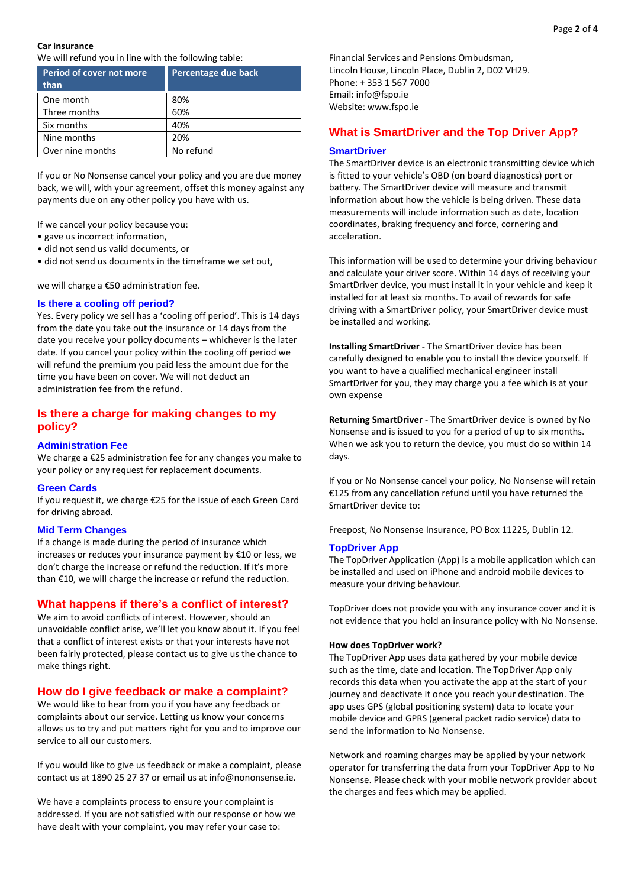## **Car insurance**

We will refund you in line with the following table:

| Period of cover not more<br>than | Percentage due back |
|----------------------------------|---------------------|
| One month                        | 80%                 |
| Three months                     | 60%                 |
| Six months                       | 40%                 |
| Nine months                      | 20%                 |
| Over nine months                 | No refund           |

If you or No Nonsense cancel your policy and you are due money back, we will, with your agreement, offset this money against any payments due on any other policy you have with us.

If we cancel your policy because you:

- gave us incorrect information,
- did not send us valid documents, or
- did not send us documents in the timeframe we set out,

we will charge a €50 administration fee.

## **Is there a cooling off period?**

Yes. Every policy we sell has a 'cooling off period'. This is 14 days from the date you take out the insurance or 14 days from the date you receive your policy documents – whichever is the later date. If you cancel your policy within the cooling off period we will refund the premium you paid less the amount due for the time you have been on cover. We will not deduct an administration fee from the refund.

# **Is there a charge for making changes to my policy?**

#### **Administration Fee**

We charge a €25 administration fee for any changes you make to your policy or any request for replacement documents.

## **Green Cards**

If you request it, we charge €25 for the issue of each Green Card for driving abroad.

## **Mid Term Changes**

If a change is made during the period of insurance which increases or reduces your insurance payment by €10 or less, we don't charge the increase or refund the reduction. If it's more than €10, we will charge the increase or refund the reduction.

# **What happens if there's a conflict of interest?**

We aim to avoid conflicts of interest. However, should an unavoidable conflict arise, we'll let you know about it. If you feel that a conflict of interest exists or that your interests have not been fairly protected, please contact us to give us the chance to make things right.

# **How do I give feedback or make a complaint?**

We would like to hear from you if you have any feedback or complaints about our service. Letting us know your concerns allows us to try and put matters right for you and to improve our service to all our customers.

If you would like to give us feedback or make a complaint, please contact us at 1890 25 27 37 or email us at info@nononsense.ie.

We have a complaints process to ensure your complaint is addressed. If you are not satisfied with our response or how we have dealt with your complaint, you may refer your case to:

Financial Services and Pensions Ombudsman, Lincoln House, Lincoln Place, Dublin 2, D02 VH29. Phone: + 353 1 567 7000 Email: info@fspo.ie Website: www.fspo.ie

# **What is SmartDriver and the Top Driver App?**

#### **SmartDriver**

The SmartDriver device is an electronic transmitting device which is fitted to your vehicle's OBD (on board diagnostics) port or battery. The SmartDriver device will measure and transmit information about how the vehicle is being driven. These data measurements will include information such as date, location coordinates, braking frequency and force, cornering and acceleration.

This information will be used to determine your driving behaviour and calculate your driver score. Within 14 days of receiving your SmartDriver device, you must install it in your vehicle and keep it installed for at least six months. To avail of rewards for safe driving with a SmartDriver policy, your SmartDriver device must be installed and working.

**Installing SmartDriver -** The SmartDriver device has been carefully designed to enable you to install the device yourself. If you want to have a qualified mechanical engineer install SmartDriver for you, they may charge you a fee which is at your own expense

**Returning SmartDriver -** The SmartDriver device is owned by No Nonsense and is issued to you for a period of up to six months. When we ask you to return the device, you must do so within 14 days.

If you or No Nonsense cancel your policy, No Nonsense will retain €125 from any cancellation refund until you have returned the SmartDriver device to:

Freepost, No Nonsense Insurance, PO Box 11225, Dublin 12.

## **TopDriver App**

The TopDriver Application (App) is a mobile application which can be installed and used on iPhone and android mobile devices to measure your driving behaviour.

TopDriver does not provide you with any insurance cover and it is not evidence that you hold an insurance policy with No Nonsense.

#### **How does TopDriver work?**

The TopDriver App uses data gathered by your mobile device such as the time, date and location. The TopDriver App only records this data when you activate the app at the start of your journey and deactivate it once you reach your destination. The app uses GPS (global positioning system) data to locate your mobile device and GPRS (general packet radio service) data to send the information to No Nonsense.

Network and roaming charges may be applied by your network operator for transferring the data from your TopDriver App to No Nonsense. Please check with your mobile network provider about the charges and fees which may be applied.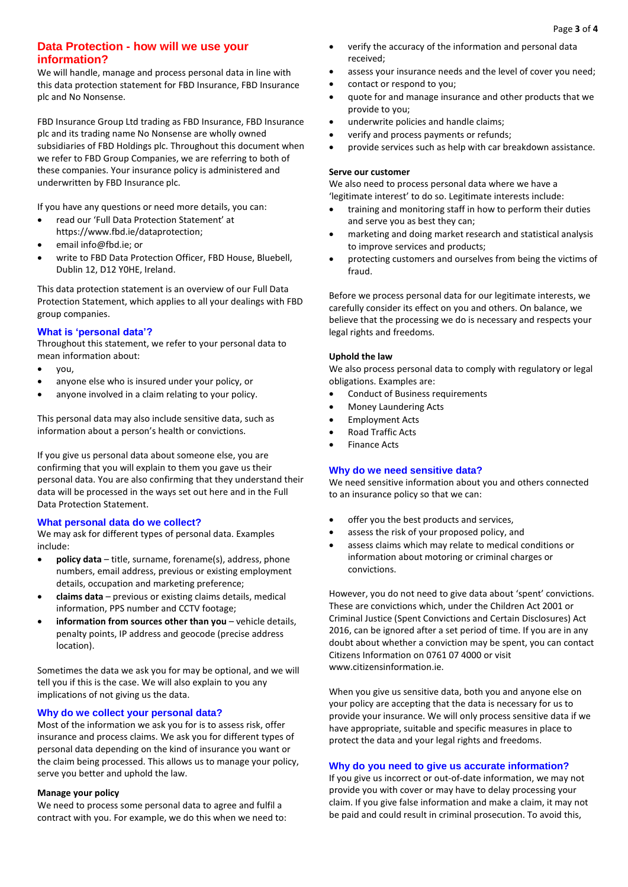# **Data Protection - how will we use your information?**

We will handle, manage and process personal data in line with this data protection statement for FBD Insurance, FBD Insurance plc and No Nonsense.

FBD Insurance Group Ltd trading as FBD Insurance, FBD Insurance plc and its trading name No Nonsense are wholly owned subsidiaries of FBD Holdings plc. Throughout this document when we refer to FBD Group Companies, we are referring to both of these companies. Your insurance policy is administered and underwritten by FBD Insurance plc.

If you have any questions or need more details, you can:

- read our 'Full Data Protection Statement' at https://www.fbd.ie/dataprotection;
- email info@fbd.ie; or
- write to FBD Data Protection Officer, FBD House, Bluebell, Dublin 12, D12 Y0HE, Ireland.

This data protection statement is an overview of our Full Data Protection Statement, which applies to all your dealings with FBD group companies.

# **What is 'personal data'?**

Throughout this statement, we refer to your personal data to mean information about:

- you,
- anyone else who is insured under your policy, or
- anyone involved in a claim relating to your policy.

This personal data may also include sensitive data, such as information about a person's health or convictions.

If you give us personal data about someone else, you are confirming that you will explain to them you gave us their personal data. You are also confirming that they understand their data will be processed in the ways set out here and in the Full Data Protection Statement.

## **What personal data do we collect?**

We may ask for different types of personal data. Examples include:

- **policy data** title, surname, forename(s), address, phone numbers, email address, previous or existing employment details, occupation and marketing preference;
- **claims data** previous or existing claims details, medical information, PPS number and CCTV footage;
- **information from sources other than you** vehicle details, penalty points, IP address and geocode (precise address location).

Sometimes the data we ask you for may be optional, and we will tell you if this is the case. We will also explain to you any implications of not giving us the data.

## **Why do we collect your personal data?**

Most of the information we ask you for is to assess risk, offer insurance and process claims. We ask you for different types of personal data depending on the kind of insurance you want or the claim being processed. This allows us to manage your policy, serve you better and uphold the law.

## **Manage your policy**

We need to process some personal data to agree and fulfil a contract with you. For example, we do this when we need to:

- verify the accuracy of the information and personal data received;
- assess your insurance needs and the level of cover you need;
- contact or respond to you;
- quote for and manage insurance and other products that we provide to you;
- underwrite policies and handle claims;
- verify and process payments or refunds;
- provide services such as help with car breakdown assistance.

## **Serve our customer**

We also need to process personal data where we have a 'legitimate interest' to do so. Legitimate interests include:

- training and monitoring staff in how to perform their duties and serve you as best they can;
- marketing and doing market research and statistical analysis to improve services and products;
- protecting customers and ourselves from being the victims of fraud.

Before we process personal data for our legitimate interests, we carefully consider its effect on you and others. On balance, we believe that the processing we do is necessary and respects your legal rights and freedoms.

## **Uphold the law**

We also process personal data to comply with regulatory or legal obligations. Examples are:

- Conduct of Business requirements
- Money Laundering Acts
- **•** Employment Acts
- Road Traffic Acts
- Finance Acts

# **Why do we need sensitive data?**

We need sensitive information about you and others connected to an insurance policy so that we can:

- offer you the best products and services,
- assess the risk of your proposed policy, and
- assess claims which may relate to medical conditions or information about motoring or criminal charges or convictions.

However, you do not need to give data about 'spent' convictions. These are convictions which, under the Children Act 2001 or Criminal Justice (Spent Convictions and Certain Disclosures) Act 2016, can be ignored after a set period of time. If you are in any doubt about whether a conviction may be spent, you can contact Citizens Information on 0761 07 4000 or visit www.citizensinformation.je

When you give us sensitive data, both you and anyone else on your policy are accepting that the data is necessary for us to provide your insurance. We will only process sensitive data if we have appropriate, suitable and specific measures in place to protect the data and your legal rights and freedoms.

## **Why do you need to give us accurate information?**

If you give us incorrect or out-of-date information, we may not provide you with cover or may have to delay processing your claim. If you give false information and make a claim, it may not be paid and could result in criminal prosecution. To avoid this,